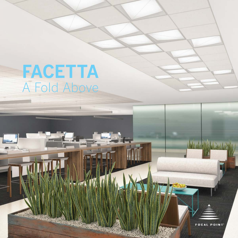# **FACETTA**<br>A Fold Above

a l

**FOCAL POINT** 

Material Article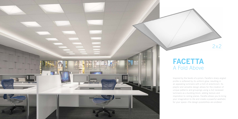

Inspired by the facets of a prism, Facetta's sharp angled profile is softened by its uniform glow, resulting in an appealing luminaire with a hint of eclecticism. Its playful and versatile design allows for the creation of unique patterns and groupings using a 2x2 recessed luminaire as a building block, adding texture and inspiration to ceiling planes. Facetta allows you to bring your imagination to life and create a powerful aesthetic for your space—the design possibilities are endless!



## A Fold Above [FACETTA](http://www.focalpointlights.com/node/3924)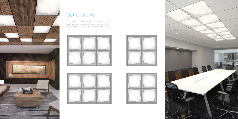

#### Get Creative

Facetta can be grouped to create orthogonal patterns and organic arrangements. Have fun with it—and playfully create your design statement for any space.









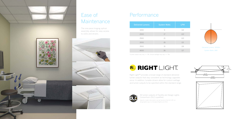| <b>Delivered Lumens</b> | <b>System Watts</b> | <b>LPW</b> |
|-------------------------|---------------------|------------|
| 1000                    | 9                   | 114        |
| 2000                    | 17                  | 122        |
| 2500                    | 21                  | 122        |
| 3000                    | 26                  | 121        |
| 3500                    | 31                  | 119        |
| 4000                    | 36                  | $\Box$     |

\*Lumen output may vary +/- 5%. Actual wattage may vary +/- 5%

# RL RIGHT LIGHT

### Performance



Right Light™ provides a broad range of standard delivered lumen outputs that stay consistent as technology upgrades occur. In addition, tunable drivers allow for custom wattage and lumen outputs to be specified within the standard range.





All lumen outputs of Facetta are Design Lights Consortium (DLC) qualified.

Specific model information can be found on the DLC QPL at designlights.org or at focalpointlights.com/DLC.



#### Ease of Maintenance

The one-piece hinging optical assembly allows for easy access to LEDs and drivers.